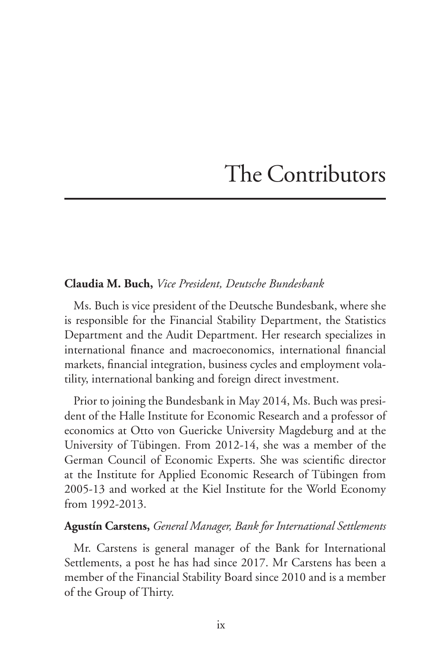# The Contributors

#### **Claudia M. Buch,** *Vice President, Deutsche Bundesbank*

Ms. Buch is vice president of the Deutsche Bundesbank, where she is responsible for the Financial Stability Department, the Statistics Department and the Audit Department. Her research specializes in international finance and macroeconomics, international financial markets, financial integration, business cycles and employment volatility, international banking and foreign direct investment.

Prior to joining the Bundesbank in May 2014, Ms. Buch was president of the Halle Institute for Economic Research and a professor of economics at Otto von Guericke University Magdeburg and at the University of Tübingen. From 2012-14, she was a member of the German Council of Economic Experts. She was scientific director at the Institute for Applied Economic Research of Tübingen from 2005-13 and worked at the Kiel Institute for the World Economy from 1992-2013.

#### **Agustín Carstens,** *General Manager, Bank for International Settlements*

Mr. Carstens is general manager of the Bank for International Settlements, a post he has had since 2017. Mr Carstens has been a member of the Financial Stability Board since 2010 and is a member of the Group of Thirty.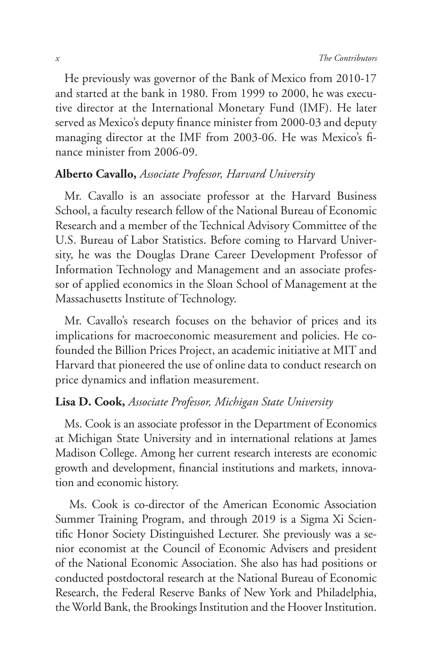He previously was governor of the Bank of Mexico from 2010-17 and started at the bank in 1980. From 1999 to 2000, he was executive director at the International Monetary Fund (IMF). He later served as Mexico's deputy finance minister from 2000-03 and deputy managing director at the IMF from 2003-06. He was Mexico's finance minister from 2006-09.

## **Alberto Cavallo,** *Associate Professor, Harvard University*

Mr. Cavallo is an associate professor at the Harvard Business School, a faculty research fellow of the National Bureau of Economic Research and a member of the Technical Advisory Committee of the U.S. Bureau of Labor Statistics. Before coming to Harvard University, he was the Douglas Drane Career Development Professor of Information Technology and Management and an associate professor of applied economics in the Sloan School of Management at the Massachusetts Institute of Technology.

Mr. Cavallo's research focuses on the behavior of prices and its implications for macroeconomic measurement and policies. He cofounded the Billion Prices Project, an academic initiative at MIT and Harvard that pioneered the use of online data to conduct research on price dynamics and inflation measurement.

#### **Lisa D. Cook,** *Associate Professor, Michigan State University*

Ms. Cook is an associate professor in the Department of Economics at Michigan State University and in international relations at James Madison College. Among her current research interests are economic growth and development, financial institutions and markets, innovation and economic history.

 Ms. Cook is co-director of the American Economic Association Summer Training Program, and through 2019 is a Sigma Xi Scientific Honor Society Distinguished Lecturer. She previously was a senior economist at the Council of Economic Advisers and president of the National Economic Association. She also has had positions or conducted postdoctoral research at the National Bureau of Economic Research, the Federal Reserve Banks of New York and Philadelphia, the World Bank, the Brookings Institution and the Hoover Institution.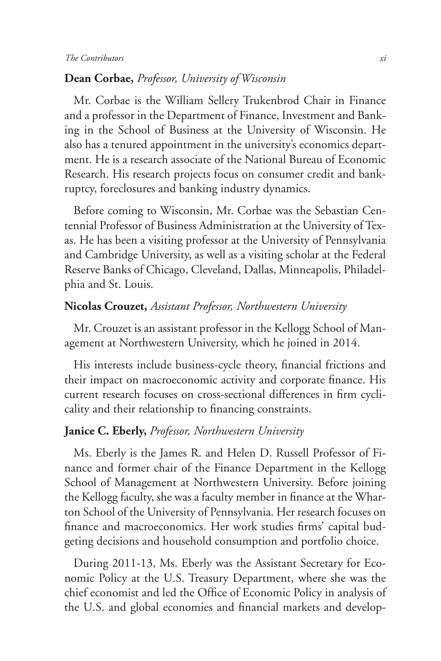#### **Dean Corbae,** *Professor, University of Wisconsin*

Mr. Corbae is the William Sellery Trukenbrod Chair in Finance and a professor in the Department of Finance, Investment and Banking in the School of Business at the University of Wisconsin. He also has a tenured appointment in the university's economics department. He is a research associate of the National Bureau of Economic Research. His research projects focus on consumer credit and bankruptcy, foreclosures and banking industry dynamics.

Before coming to Wisconsin, Mr. Corbae was the Sebastian Centennial Professor of Business Administration at the University of Texas. He has been a visiting professor at the University of Pennsylvania and Cambridge University, as well as a visiting scholar at the Federal Reserve Banks of Chicago, Cleveland, Dallas, Minneapolis, Philadelphia and St. Louis.

## **Nicolas Crouzet,** *Assistant Professor, Northwestern University*

Mr. Crouzet is an assistant professor in the Kellogg School of Management at Northwestern University, which he joined in 2014.

His interests include business-cycle theory, financial frictions and their impact on macroeconomic activity and corporate finance. His current research focuses on cross-sectional differences in firm cyclicality and their relationship to financing constraints.

# **Janice C. Eberly,** *Professor, Northwestern University*

Ms. Eberly is the James R. and Helen D. Russell Professor of Finance and former chair of the Finance Department in the Kellogg School of Management at Northwestern University. Before joining the Kellogg faculty, she was a faculty member in finance at the Wharton School of the University of Pennsylvania. Her research focuses on finance and macroeconomics. Her work studies firms' capital budgeting decisions and household consumption and portfolio choice.

During 2011-13, Ms. Eberly was the Assistant Secretary for Economic Policy at the U.S. Treasury Department, where she was the chief economist and led the Office of Economic Policy in analysis of the U.S. and global economies and financial markets and develop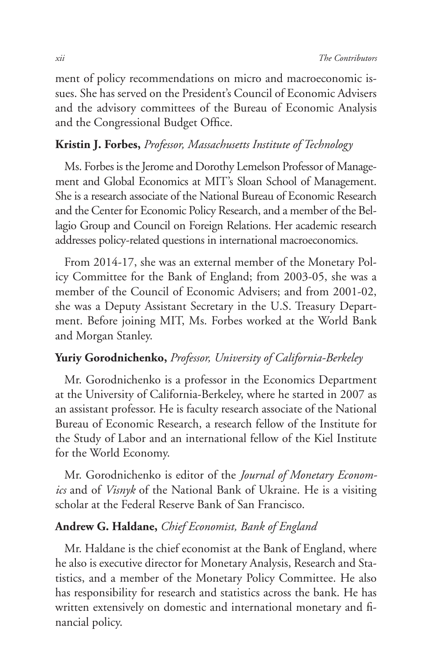ment of policy recommendations on micro and macroeconomic issues. She has served on the President's Council of Economic Advisers and the advisory committees of the Bureau of Economic Analysis and the Congressional Budget Office.

# **Kristin J. Forbes,** *Professor, Massachusetts Institute of Technology*

Ms. Forbes is the Jerome and Dorothy Lemelson Professor of Management and Global Economics at MIT's Sloan School of Management. She is a research associate of the National Bureau of Economic Research and the Center for Economic Policy Research, and a member of the Bellagio Group and Council on Foreign Relations. Her academic research addresses policy-related questions in international macroeconomics.

From 2014-17, she was an external member of the Monetary Policy Committee for the Bank of England; from 2003-05, she was a member of the Council of Economic Advisers; and from 2001-02, she was a Deputy Assistant Secretary in the U.S. Treasury Department. Before joining MIT, Ms. Forbes worked at the World Bank and Morgan Stanley.

#### **Yuriy Gorodnichenko,** *Professor, University of California-Berkeley*

Mr. Gorodnichenko is a professor in the Economics Department at the University of California-Berkeley, where he started in 2007 as an assistant professor. He is faculty research associate of the National Bureau of Economic Research, a research fellow of the Institute for the Study of Labor and an international fellow of the Kiel Institute for the World Economy.

Mr. Gorodnichenko is editor of the *Journal of Monetary Economics* and of *Visnyk* of the National Bank of Ukraine. He is a visiting scholar at the Federal Reserve Bank of San Francisco.

#### **Andrew G. Haldane,** *Chief Economist, Bank of England*

Mr. Haldane is the chief economist at the Bank of England, where he also is executive director for Monetary Analysis, Research and Statistics, and a member of the Monetary Policy Committee. He also has responsibility for research and statistics across the bank. He has written extensively on domestic and international monetary and financial policy.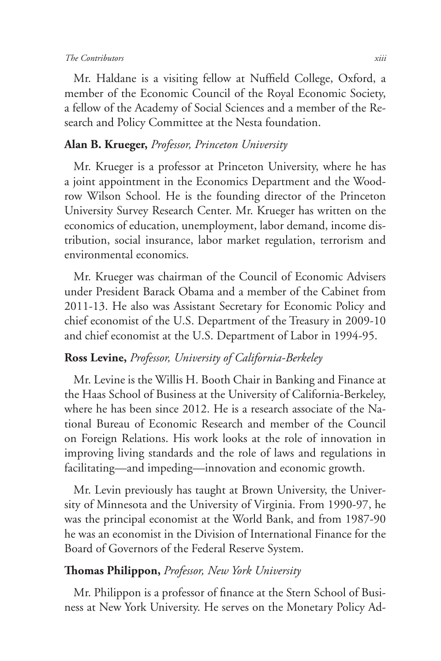#### *The Contributors xiii*

Mr. Haldane is a visiting fellow at Nuffield College, Oxford, a member of the Economic Council of the Royal Economic Society, a fellow of the Academy of Social Sciences and a member of the Research and Policy Committee at the Nesta foundation.

# **Alan B. Krueger,** *Professor, Princeton University*

Mr. Krueger is a professor at Princeton University, where he has a joint appointment in the Economics Department and the Woodrow Wilson School. He is the founding director of the Princeton University Survey Research Center. Mr. Krueger has written on the economics of education, unemployment, labor demand, income distribution, social insurance, labor market regulation, terrorism and environmental economics.

Mr. Krueger was chairman of the Council of Economic Advisers under President Barack Obama and a member of the Cabinet from 2011-13. He also was Assistant Secretary for Economic Policy and chief economist of the U.S. Department of the Treasury in 2009-10 and chief economist at the U.S. Department of Labor in 1994-95.

## **Ross Levine,** *Professor, University of California-Berkeley*

Mr. Levine is the Willis H. Booth Chair in Banking and Finance at the Haas School of Business at the University of California-Berkeley, where he has been since 2012. He is a research associate of the National Bureau of Economic Research and member of the Council on Foreign Relations. His work looks at the role of innovation in improving living standards and the role of laws and regulations in facilitating—and impeding—innovation and economic growth.

Mr. Levin previously has taught at Brown University, the University of Minnesota and the University of Virginia. From 1990-97, he was the principal economist at the World Bank, and from 1987-90 he was an economist in the Division of International Finance for the Board of Governors of the Federal Reserve System.

#### **Thomas Philippon,** *Professor, New York University*

Mr. Philippon is a professor of finance at the Stern School of Business at New York University. He serves on the Monetary Policy Ad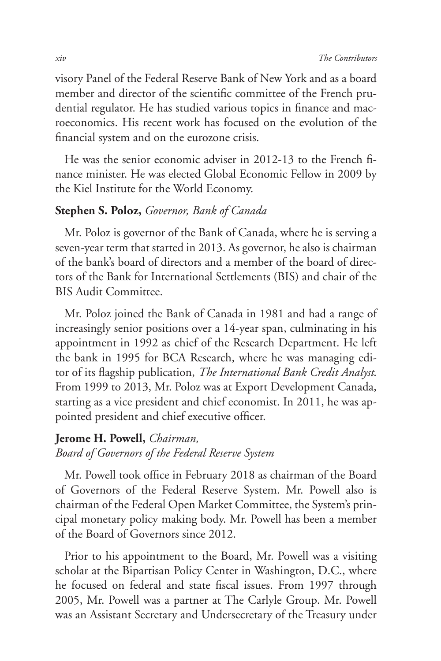visory Panel of the Federal Reserve Bank of New York and as a board member and director of the scientific committee of the French prudential regulator. He has studied various topics in finance and macroeconomics. His recent work has focused on the evolution of the financial system and on the eurozone crisis.

He was the senior economic adviser in 2012-13 to the French finance minister. He was elected Global Economic Fellow in 2009 by the Kiel Institute for the World Economy.

#### **Stephen S. Poloz,** *Governor, Bank of Canada*

Mr. Poloz is governor of the Bank of Canada, where he is serving a seven-year term that started in 2013. As governor, he also is chairman of the bank's board of directors and a member of the board of directors of the Bank for International Settlements (BIS) and chair of the BIS Audit Committee.

Mr. Poloz joined the Bank of Canada in 1981 and had a range of increasingly senior positions over a 14-year span, culminating in his appointment in 1992 as chief of the Research Department. He left the bank in 1995 for BCA Research, where he was managing editor of its flagship publication, *The International Bank Credit Analyst*. From 1999 to 2013, Mr. Poloz was at Export Development Canada, starting as a vice president and chief economist. In 2011, he was appointed president and chief executive officer.

#### **Jerome H. Powell,** *Chairman,*

*Board of Governors of the Federal Reserve System* 

Mr. Powell took office in February 2018 as chairman of the Board of Governors of the Federal Reserve System. Mr. Powell also is chairman of the Federal Open Market Committee, the System's principal monetary policy making body. Mr. Powell has been a member of the Board of Governors since 2012.

Prior to his appointment to the Board, Mr. Powell was a visiting scholar at the Bipartisan Policy Center in Washington, D.C., where he focused on federal and state fiscal issues. From 1997 through 2005, Mr. Powell was a partner at The Carlyle Group. Mr. Powell was an Assistant Secretary and Undersecretary of the Treasury under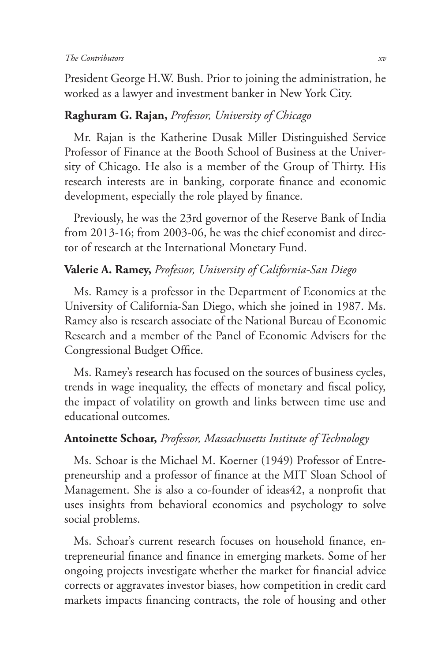President George H.W. Bush. Prior to joining the administration, he worked as a lawyer and investment banker in New York City.

# **Raghuram G. Rajan,** *Professor, University of Chicago*

Mr. Rajan is the Katherine Dusak Miller Distinguished Service Professor of Finance at the Booth School of Business at the University of Chicago. He also is a member of the Group of Thirty. His research interests are in banking, corporate finance and economic development, especially the role played by finance.

Previously, he was the 23rd governor of the Reserve Bank of India from 2013-16; from 2003-06, he was the chief economist and director of research at the International Monetary Fund.

# **Valerie A. Ramey,** *Professor, University of California-San Diego*

Ms. Ramey is a professor in the Department of Economics at the University of California-San Diego, which she joined in 1987. Ms. Ramey also is research associate of the National Bureau of Economic Research and a member of the Panel of Economic Advisers for the Congressional Budget Office.

Ms. Ramey's research has focused on the sources of business cycles, trends in wage inequality, the effects of monetary and fiscal policy, the impact of volatility on growth and links between time use and educational outcomes.

# **Antoinette Schoar,** *Professor, Massachusetts Institute of Technology*

Ms. Schoar is the Michael M. Koerner (1949) Professor of Entrepreneurship and a professor of finance at the MIT Sloan School of Management. She is also a co-founder of ideas42, a nonprofit that uses insights from behavioral economics and psychology to solve social problems.

Ms. Schoar's current research focuses on household finance, entrepreneurial finance and finance in emerging markets. Some of her ongoing projects investigate whether the market for financial advice corrects or aggravates investor biases, how competition in credit card markets impacts financing contracts, the role of housing and other